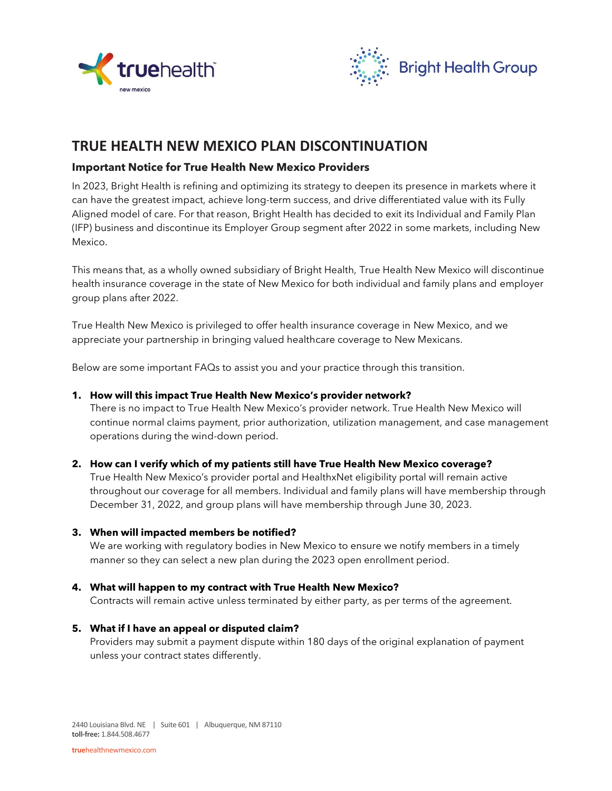



# **TRUE HEALTH NEW MEXICO PLAN DISCONTINUATION**

## **Important Notice for True Health New Mexico Providers**

In 2023, Bright Health is refining and optimizing its strategy to deepen its presence in markets where it can have the greatest impact, achieve long-term success, and drive differentiated value with its Fully Aligned model of care. For that reason, Bright Health has decided to exit its Individual and Family Plan (IFP) business and discontinue its Employer Group segment after 2022 in some markets, including New Mexico.

This means that, as a wholly owned subsidiary of Bright Health, True Health New Mexico will discontinue health insurance coverage in the state of New Mexico for both individual and family plans and employer group plans after 2022.

True Health New Mexico is privileged to offer health insurance coverage in New Mexico, and we appreciate your partnership in bringing valued healthcare coverage to New Mexicans.

Below are some important FAQs to assist you and your practice through this transition.

#### **1. How will this impact True Health New Mexico's provider network?**

There is no impact to True Health New Mexico's provider network. True Health New Mexico will continue normal claims payment, prior authorization, utilization management, and case management operations during the wind-down period.

### **2. How can I verify which of my patients still have True Health New Mexico coverage?**

True Health New Mexico's provider portal and HealthxNet eligibility portal will remain active throughout our coverage for all members. Individual and family plans will have membership through December 31, 2022, and group plans will have membership through June 30, 2023.

### **3. When will impacted members be notified?**

We are working with regulatory bodies in New Mexico to ensure we notify members in a timely manner so they can select a new plan during the 2023 open enrollment period.

### **4. What will happen to my contract with True Health New Mexico?**

Contracts will remain active unless terminated by either party, as per terms of the agreement.

#### **5. What if I have an appeal or disputed claim?**

Providers may submit a payment dispute within 180 days of the original explanation of payment unless your contract states differently.